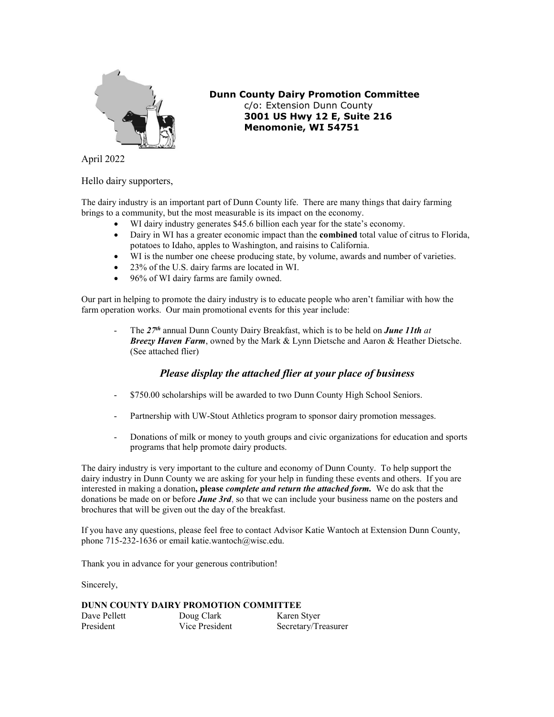

 **Dunn County Dairy Promotion Committee** c/o: Extension Dunn County **3001 US Hwy 12 E, Suite 216 Menomonie, WI 54751**

April 2022

Hello dairy supporters,

The dairy industry is an important part of Dunn County life. There are many things that dairy farming brings to a community, but the most measurable is its impact on the economy.

- WI dairy industry generates \$45.6 billion each year for the state's economy.
- Dairy in WI has a greater economic impact than the **combined** total value of citrus to Florida, potatoes to Idaho, apples to Washington, and raisins to California.
- WI is the number one cheese producing state, by volume, awards and number of varieties.
- 23% of the U.S. dairy farms are located in WI.
- 96% of WI dairy farms are family owned.

Our part in helping to promote the dairy industry is to educate people who aren't familiar with how the farm operation works. Our main promotional events for this year include:

- The *27th* annual Dunn County Dairy Breakfast, which is to be held on *June 11th at Breezy Haven Farm*, owned by the Mark & Lynn Dietsche and Aaron & Heather Dietsche. (See attached flier)

#### *Please display the attached flier at your place of business*

- \$750.00 scholarships will be awarded to two Dunn County High School Seniors.
- Partnership with UW-Stout Athletics program to sponsor dairy promotion messages.
- Donations of milk or money to youth groups and civic organizations for education and sports programs that help promote dairy products.

The dairy industry is very important to the culture and economy of Dunn County. To help support the dairy industry in Dunn County we are asking for your help in funding these events and others. If you are interested in making a donation**, please** *complete and return the attached form.* We do ask that the donations be made on or before *June 3rd*, so that we can include your business name on the posters and brochures that will be given out the day of the breakfast.

If you have any questions, please feel free to contact Advisor Katie Wantoch at Extension Dunn County, phone 715-232-1636 or email katie.wantoch@wisc.edu.

Thank you in advance for your generous contribution!

Sincerely,

#### **DUNN COUNTY DAIRY PROMOTION COMMITTEE**

| Dave Pellett | Doug Clark     | Karen Styer         |
|--------------|----------------|---------------------|
| President    | Vice President | Secretary/Treasurer |